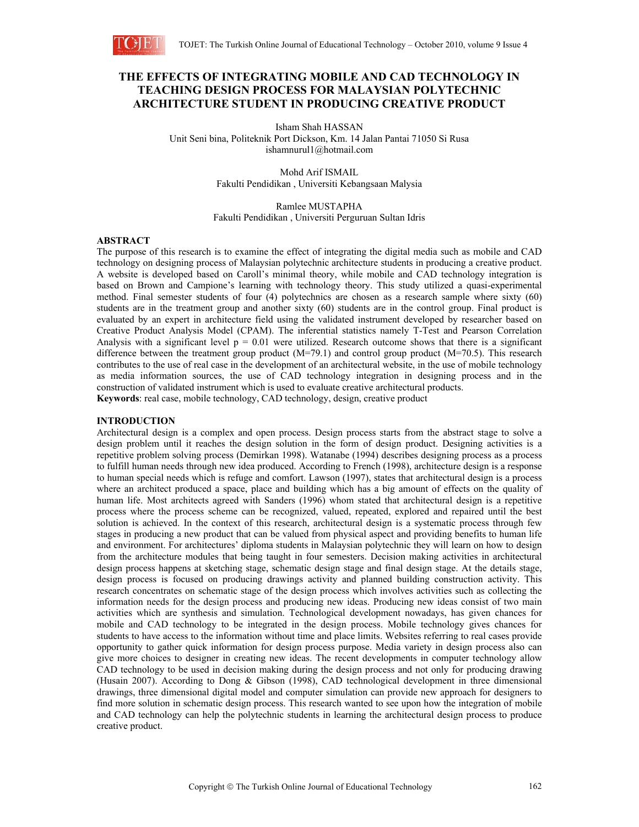

# **THE EFFECTS OF INTEGRATING MOBILE AND CAD TECHNOLOGY IN TEACHING DESIGN PROCESS FOR MALAYSIAN POLYTECHNIC ARCHITECTURE STUDENT IN PRODUCING CREATIVE PRODUCT**

Isham Shah HASSAN Unit Seni bina, Politeknik Port Dickson, Km. 14 Jalan Pantai 71050 Si Rusa ishamnurul1@hotmail.com

> Mohd Arif ISMAIL Fakulti Pendidikan , Universiti Kebangsaan Malysia

Ramlee MUSTAPHA Fakulti Pendidikan , Universiti Perguruan Sultan Idris

### **ABSTRACT**

The purpose of this research is to examine the effect of integrating the digital media such as mobile and CAD technology on designing process of Malaysian polytechnic architecture students in producing a creative product. A website is developed based on Caroll's minimal theory, while mobile and CAD technology integration is based on Brown and Campione's learning with technology theory. This study utilized a quasi-experimental method. Final semester students of four (4) polytechnics are chosen as a research sample where sixty (60) students are in the treatment group and another sixty (60) students are in the control group. Final product is evaluated by an expert in architecture field using the validated instrument developed by researcher based on Creative Product Analysis Model (CPAM). The inferential statistics namely T-Test and Pearson Correlation Analysis with a significant level  $p = 0.01$  were utilized. Research outcome shows that there is a significant difference between the treatment group product  $(M=79.1)$  and control group product  $(M=70.5)$ . This research contributes to the use of real case in the development of an architectural website, in the use of mobile technology as media information sources, the use of CAD technology integration in designing process and in the construction of validated instrument which is used to evaluate creative architectural products. **Keywords**: real case, mobile technology, CAD technology, design, creative product

#### **INTRODUCTION**

Architectural design is a complex and open process. Design process starts from the abstract stage to solve a design problem until it reaches the design solution in the form of design product. Designing activities is a repetitive problem solving process (Demirkan 1998). Watanabe (1994) describes designing process as a process to fulfill human needs through new idea produced. According to French (1998), architecture design is a response to human special needs which is refuge and comfort. Lawson (1997), states that architectural design is a process where an architect produced a space, place and building which has a big amount of effects on the quality of human life. Most architects agreed with Sanders (1996) whom stated that architectural design is a repetitive process where the process scheme can be recognized, valued, repeated, explored and repaired until the best solution is achieved. In the context of this research, architectural design is a systematic process through few stages in producing a new product that can be valued from physical aspect and providing benefits to human life and environment. For architectures' diploma students in Malaysian polytechnic they will learn on how to design from the architecture modules that being taught in four semesters. Decision making activities in architectural design process happens at sketching stage, schematic design stage and final design stage. At the details stage, design process is focused on producing drawings activity and planned building construction activity. This research concentrates on schematic stage of the design process which involves activities such as collecting the information needs for the design process and producing new ideas. Producing new ideas consist of two main activities which are synthesis and simulation. Technological development nowadays, has given chances for mobile and CAD technology to be integrated in the design process. Mobile technology gives chances for students to have access to the information without time and place limits. Websites referring to real cases provide opportunity to gather quick information for design process purpose. Media variety in design process also can give more choices to designer in creating new ideas. The recent developments in computer technology allow CAD technology to be used in decision making during the design process and not only for producing drawing (Husain 2007). According to Dong & Gibson (1998), CAD technological development in three dimensional drawings, three dimensional digital model and computer simulation can provide new approach for designers to find more solution in schematic design process. This research wanted to see upon how the integration of mobile and CAD technology can help the polytechnic students in learning the architectural design process to produce creative product.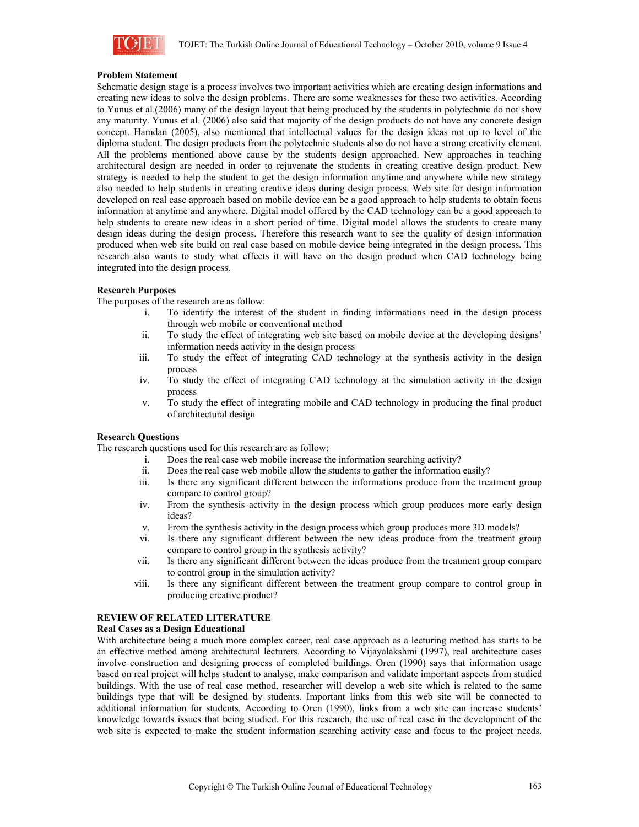

### **Problem Statement**

Schematic design stage is a process involves two important activities which are creating design informations and creating new ideas to solve the design problems. There are some weaknesses for these two activities. According to Yunus et al.(2006) many of the design layout that being produced by the students in polytechnic do not show any maturity. Yunus et al. (2006) also said that majority of the design products do not have any concrete design concept. Hamdan (2005), also mentioned that intellectual values for the design ideas not up to level of the diploma student. The design products from the polytechnic students also do not have a strong creativity element. All the problems mentioned above cause by the students design approached. New approaches in teaching architectural design are needed in order to rejuvenate the students in creating creative design product. New strategy is needed to help the student to get the design information anytime and anywhere while new strategy also needed to help students in creating creative ideas during design process. Web site for design information developed on real case approach based on mobile device can be a good approach to help students to obtain focus information at anytime and anywhere. Digital model offered by the CAD technology can be a good approach to help students to create new ideas in a short period of time. Digital model allows the students to create many design ideas during the design process. Therefore this research want to see the quality of design information produced when web site build on real case based on mobile device being integrated in the design process. This research also wants to study what effects it will have on the design product when CAD technology being integrated into the design process.

# **Research Purposes**

The purposes of the research are as follow:

- i. To identify the interest of the student in finding informations need in the design process through web mobile or conventional method
- ii. To study the effect of integrating web site based on mobile device at the developing designs' information needs activity in the design process
- iii. To study the effect of integrating CAD technology at the synthesis activity in the design process
- iv. To study the effect of integrating CAD technology at the simulation activity in the design process
- v. To study the effect of integrating mobile and CAD technology in producing the final product of architectural design

#### **Research Questions**

The research questions used for this research are as follow:

- i. Does the real case web mobile increase the information searching activity?
- ii. Does the real case web mobile allow the students to gather the information easily?
- iii. Is there any significant different between the informations produce from the treatment group compare to control group?
- iv. From the synthesis activity in the design process which group produces more early design ideas?
- v. From the synthesis activity in the design process which group produces more 3D models?
- vi. Is there any significant different between the new ideas produce from the treatment group compare to control group in the synthesis activity?
- vii. Is there any significant different between the ideas produce from the treatment group compare to control group in the simulation activity?
- viii. Is there any significant different between the treatment group compare to control group in producing creative product?

# **REVIEW OF RELATED LITERATURE**

# **Real Cases as a Design Educational**

With architecture being a much more complex career, real case approach as a lecturing method has starts to be an effective method among architectural lecturers. According to Vijayalakshmi (1997), real architecture cases involve construction and designing process of completed buildings. Oren (1990) says that information usage based on real project will helps student to analyse, make comparison and validate important aspects from studied buildings. With the use of real case method, researcher will develop a web site which is related to the same buildings type that will be designed by students. Important links from this web site will be connected to additional information for students. According to Oren (1990), links from a web site can increase students' knowledge towards issues that being studied. For this research, the use of real case in the development of the web site is expected to make the student information searching activity ease and focus to the project needs.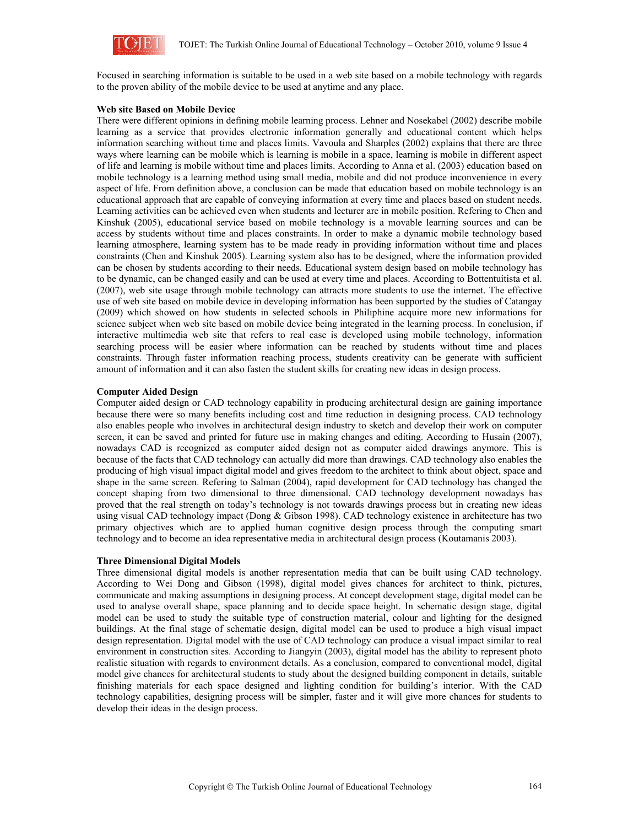

Focused in searching information is suitable to be used in a web site based on a mobile technology with regards to the proven ability of the mobile device to be used at anytime and any place.

#### **Web site Based on Mobile Device**

There were different opinions in defining mobile learning process. Lehner and Nosekabel (2002) describe mobile learning as a service that provides electronic information generally and educational content which helps information searching without time and places limits. Vavoula and Sharples (2002) explains that there are three ways where learning can be mobile which is learning is mobile in a space, learning is mobile in different aspect of life and learning is mobile without time and places limits. According to Anna et al. (2003) education based on mobile technology is a learning method using small media, mobile and did not produce inconvenience in every aspect of life. From definition above, a conclusion can be made that education based on mobile technology is an educational approach that are capable of conveying information at every time and places based on student needs. Learning activities can be achieved even when students and lecturer are in mobile position. Refering to Chen and Kinshuk (2005), educational service based on mobile technology is a movable learning sources and can be access by students without time and places constraints. In order to make a dynamic mobile technology based learning atmosphere, learning system has to be made ready in providing information without time and places constraints (Chen and Kinshuk 2005). Learning system also has to be designed, where the information provided can be chosen by students according to their needs. Educational system design based on mobile technology has to be dynamic, can be changed easily and can be used at every time and places. According to Bottentuitista et al. (2007), web site usage through mobile technology can attracts more students to use the internet. The effective use of web site based on mobile device in developing information has been supported by the studies of Catangay (2009) which showed on how students in selected schools in Philiphine acquire more new informations for science subject when web site based on mobile device being integrated in the learning process. In conclusion, if interactive multimedia web site that refers to real case is developed using mobile technology, information searching process will be easier where information can be reached by students without time and places constraints. Through faster information reaching process, students creativity can be generate with sufficient amount of information and it can also fasten the student skills for creating new ideas in design process.

#### **Computer Aided Design**

Computer aided design or CAD technology capability in producing architectural design are gaining importance because there were so many benefits including cost and time reduction in designing process. CAD technology also enables people who involves in architectural design industry to sketch and develop their work on computer screen, it can be saved and printed for future use in making changes and editing. According to Husain (2007), nowadays CAD is recognized as computer aided design not as computer aided drawings anymore. This is because of the facts that CAD technology can actually did more than drawings. CAD technology also enables the producing of high visual impact digital model and gives freedom to the architect to think about object, space and shape in the same screen. Refering to Salman (2004), rapid development for CAD technology has changed the concept shaping from two dimensional to three dimensional. CAD technology development nowadays has proved that the real strength on today's technology is not towards drawings process but in creating new ideas using visual CAD technology impact (Dong & Gibson 1998). CAD technology existence in architecture has two primary objectives which are to applied human cognitive design process through the computing smart technology and to become an idea representative media in architectural design process (Koutamanis 2003).

#### **Three Dimensional Digital Models**

Three dimensional digital models is another representation media that can be built using CAD technology. According to Wei Dong and Gibson (1998), digital model gives chances for architect to think, pictures, communicate and making assumptions in designing process. At concept development stage, digital model can be used to analyse overall shape, space planning and to decide space height. In schematic design stage, digital model can be used to study the suitable type of construction material, colour and lighting for the designed buildings. At the final stage of schematic design, digital model can be used to produce a high visual impact design representation. Digital model with the use of CAD technology can produce a visual impact similar to real environment in construction sites. According to Jiangyin (2003), digital model has the ability to represent photo realistic situation with regards to environment details. As a conclusion, compared to conventional model, digital model give chances for architectural students to study about the designed building component in details, suitable finishing materials for each space designed and lighting condition for building's interior. With the CAD technology capabilities, designing process will be simpler, faster and it will give more chances for students to develop their ideas in the design process.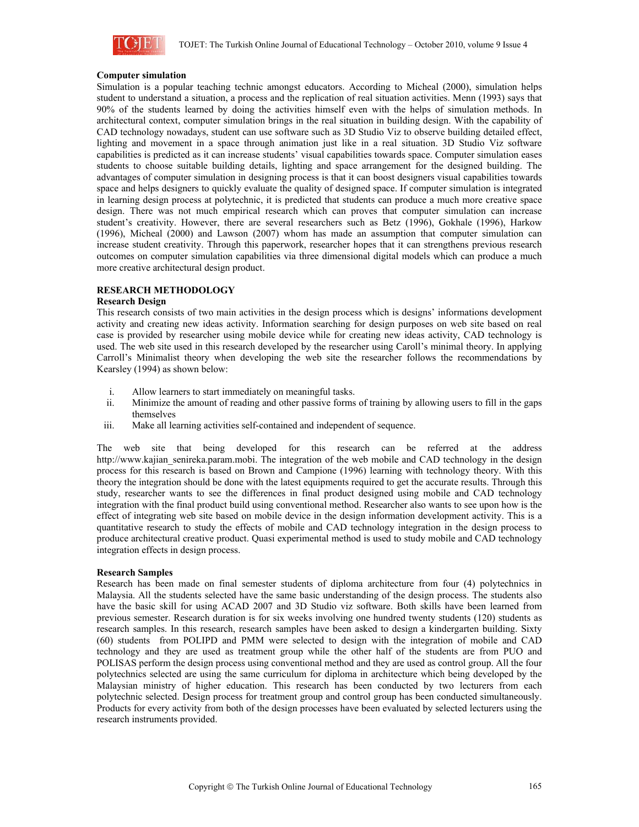

# **Computer simulation**

Simulation is a popular teaching technic amongst educators. According to Micheal (2000), simulation helps student to understand a situation, a process and the replication of real situation activities. Menn (1993) says that 90% of the students learned by doing the activities himself even with the helps of simulation methods. In architectural context, computer simulation brings in the real situation in building design. With the capability of CAD technology nowadays, student can use software such as 3D Studio Viz to observe building detailed effect, lighting and movement in a space through animation just like in a real situation. 3D Studio Viz software capabilities is predicted as it can increase students' visual capabilities towards space. Computer simulation eases students to choose suitable building details, lighting and space arrangement for the designed building. The advantages of computer simulation in designing process is that it can boost designers visual capabilities towards space and helps designers to quickly evaluate the quality of designed space. If computer simulation is integrated in learning design process at polytechnic, it is predicted that students can produce a much more creative space design. There was not much empirical research which can proves that computer simulation can increase student's creativity. However, there are several researchers such as Betz (1996), Gokhale (1996), Harkow (1996), Micheal (2000) and Lawson (2007) whom has made an assumption that computer simulation can increase student creativity. Through this paperwork, researcher hopes that it can strengthens previous research outcomes on computer simulation capabilities via three dimensional digital models which can produce a much more creative architectural design product.

# **RESEARCH METHODOLOGY**

#### **Research Design**

This research consists of two main activities in the design process which is designs' informations development activity and creating new ideas activity. Information searching for design purposes on web site based on real case is provided by researcher using mobile device while for creating new ideas activity, CAD technology is used. The web site used in this research developed by the researcher using Caroll's minimal theory. In applying Carroll's Minimalist theory when developing the web site the researcher follows the recommendations by Kearsley (1994) as shown below:

- i. Allow learners to start immediately on meaningful tasks.
- ii. Minimize the amount of reading and other passive forms of training by allowing users to fill in the gaps themselves
- iii. Make all learning activities self-contained and independent of sequence.

The web site that being developed for this research can be referred at the address http://www.kajian\_senireka.param.mobi. The integration of the web mobile and CAD technology in the design process for this research is based on Brown and Campione (1996) learning with technology theory. With this theory the integration should be done with the latest equipments required to get the accurate results. Through this study, researcher wants to see the differences in final product designed using mobile and CAD technology integration with the final product build using conventional method. Researcher also wants to see upon how is the effect of integrating web site based on mobile device in the design information development activity. This is a quantitative research to study the effects of mobile and CAD technology integration in the design process to produce architectural creative product. Quasi experimental method is used to study mobile and CAD technology integration effects in design process.

#### **Research Samples**

Research has been made on final semester students of diploma architecture from four (4) polytechnics in Malaysia. All the students selected have the same basic understanding of the design process. The students also have the basic skill for using ACAD 2007 and 3D Studio viz software. Both skills have been learned from previous semester. Research duration is for six weeks involving one hundred twenty students (120) students as research samples. In this research, research samples have been asked to design a kindergarten building. Sixty (60) students from POLIPD and PMM were selected to design with the integration of mobile and CAD technology and they are used as treatment group while the other half of the students are from PUO and POLISAS perform the design process using conventional method and they are used as control group. All the four polytechnics selected are using the same curriculum for diploma in architecture which being developed by the Malaysian ministry of higher education. This research has been conducted by two lecturers from each polytechnic selected. Design process for treatment group and control group has been conducted simultaneously. Products for every activity from both of the design processes have been evaluated by selected lecturers using the research instruments provided.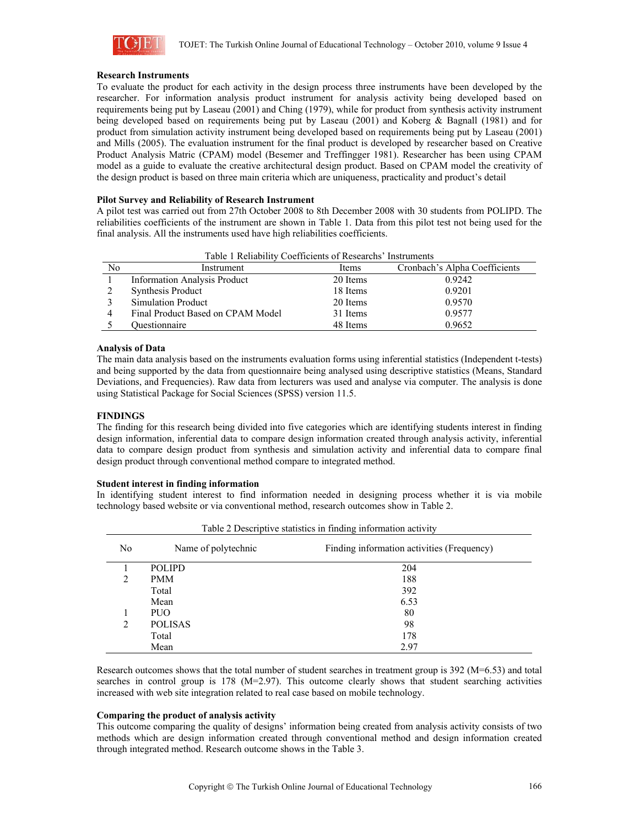

#### **Research Instruments**

To evaluate the product for each activity in the design process three instruments have been developed by the researcher. For information analysis product instrument for analysis activity being developed based on requirements being put by Laseau (2001) and Ching (1979), while for product from synthesis activity instrument being developed based on requirements being put by Laseau (2001) and Koberg & Bagnall (1981) and for product from simulation activity instrument being developed based on requirements being put by Laseau (2001) and Mills (2005). The evaluation instrument for the final product is developed by researcher based on Creative Product Analysis Matric (CPAM) model (Besemer and Treffingger 1981). Researcher has been using CPAM model as a guide to evaluate the creative architectural design product. Based on CPAM model the creativity of the design product is based on three main criteria which are uniqueness, practicality and product's detail

# **Pilot Survey and Reliability of Research Instrument**

A pilot test was carried out from 27th October 2008 to 8th December 2008 with 30 students from POLIPD. The reliabilities coefficients of the instrument are shown in Table 1. Data from this pilot test not being used for the final analysis. All the instruments used have high reliabilities coefficients.

|    | Table T Reliability Coefficients of Researchs Instruments |          |                               |  |  |  |  |  |
|----|-----------------------------------------------------------|----------|-------------------------------|--|--|--|--|--|
| No | Instrument                                                | Items    | Cronbach's Alpha Coefficients |  |  |  |  |  |
|    | <b>Information Analysis Product</b>                       | 20 Items | 0.9242                        |  |  |  |  |  |
|    | <b>Synthesis Product</b>                                  | 18 Items | 0.9201                        |  |  |  |  |  |
|    | <b>Simulation Product</b>                                 | 20 Items | 0.9570                        |  |  |  |  |  |
|    | Final Product Based on CPAM Model                         | 31 Items | 0.9577                        |  |  |  |  |  |
|    | Ouestionnaire                                             | 48 Items | 0.9652                        |  |  |  |  |  |

Table 1 Reliability Coefficients of Researchs' Instrum

# **Analysis of Data**

The main data analysis based on the instruments evaluation forms using inferential statistics (Independent t-tests) and being supported by the data from questionnaire being analysed using descriptive statistics (Means, Standard Deviations, and Frequencies). Raw data from lecturers was used and analyse via computer. The analysis is done using Statistical Package for Social Sciences (SPSS) version 11.5.

# **FINDINGS**

The finding for this research being divided into five categories which are identifying students interest in finding design information, inferential data to compare design information created through analysis activity, inferential data to compare design product from synthesis and simulation activity and inferential data to compare final design product through conventional method compare to integrated method.

#### **Student interest in finding information**

In identifying student interest to find information needed in designing process whether it is via mobile technology based website or via conventional method, research outcomes show in Table 2.

| N <sub>0</sub> | Name of polytechnic | Finding information activities (Frequency) |
|----------------|---------------------|--------------------------------------------|
|                | <b>POLIPD</b>       | 204                                        |
| 2              | <b>PMM</b>          | 188                                        |
|                | Total               | 392                                        |
|                | Mean                | 6.53                                       |
|                | PUO                 | 80                                         |
| 2              | <b>POLISAS</b>      | 98                                         |
|                | Total               | 178                                        |
|                | Mean                | 2.97                                       |

Table 2 Descriptive statistics in finding information activity

Research outcomes shows that the total number of student searches in treatment group is 392 (M=6.53) and total searches in control group is 178 ( $M=2.97$ ). This outcome clearly shows that student searching activities increased with web site integration related to real case based on mobile technology.

# **Comparing the product of analysis activity**

This outcome comparing the quality of designs' information being created from analysis activity consists of two methods which are design information created through conventional method and design information created through integrated method. Research outcome shows in the Table 3.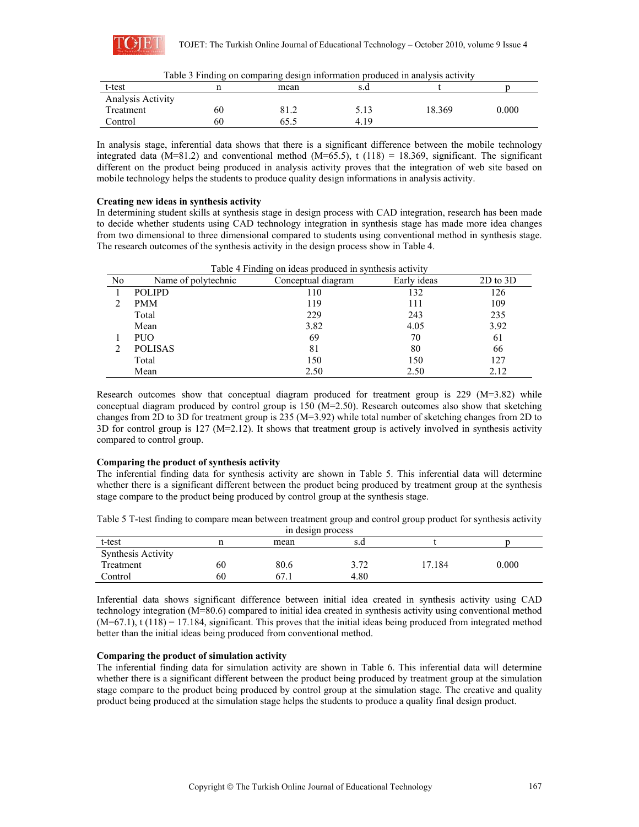

| t-test            |    | Table 5 T munix on comparing uesign information produced in analysis activity<br>mean | s.c  |        |       |
|-------------------|----|---------------------------------------------------------------------------------------|------|--------|-------|
| Analysis Activity |    |                                                                                       |      |        |       |
| Treatment         | 60 | 81.2                                                                                  | 5.13 | 18.369 | 0.000 |
| Control           | 60 | 65.5                                                                                  | 4.19 |        |       |

|  |  | Table 3 Finding on comparing design information produced in analysis activity |  |  |
|--|--|-------------------------------------------------------------------------------|--|--|

In analysis stage, inferential data shows that there is a significant difference between the mobile technology integrated data (M=81.2) and conventional method (M=65.5), t (118) = 18.369, significant. The significant different on the product being produced in analysis activity proves that the integration of web site based on mobile technology helps the students to produce quality design informations in analysis activity.

#### **Creating new ideas in synthesis activity**

In determining student skills at synthesis stage in design process with CAD integration, research has been made to decide whether students using CAD technology integration in synthesis stage has made more idea changes from two dimensional to three dimensional compared to students using conventional method in synthesis stage. The research outcomes of the synthesis activity in the design process show in Table 4.

| Table 4 Finding on ideas produced in synthesis activity |                                                                          |      |      |      |  |  |  |
|---------------------------------------------------------|--------------------------------------------------------------------------|------|------|------|--|--|--|
| No                                                      | $2D$ to $3D$<br>Conceptual diagram<br>Early ideas<br>Name of polytechnic |      |      |      |  |  |  |
|                                                         | <b>POLIPD</b>                                                            | 110  | 132  | 126  |  |  |  |
|                                                         | <b>PMM</b>                                                               | 119  | 111  | 109  |  |  |  |
|                                                         | Total                                                                    | 229  | 243  | 235  |  |  |  |
|                                                         | Mean                                                                     | 3.82 | 4.05 | 3.92 |  |  |  |
|                                                         | <b>PUO</b>                                                               | 69   | 70   | 61   |  |  |  |
|                                                         | <b>POLISAS</b>                                                           | 81   | 80   | 66   |  |  |  |
|                                                         | Total                                                                    | 150  | 150  | 127  |  |  |  |
|                                                         | Mean                                                                     | 2.50 | 2.50 | 2.12 |  |  |  |

Research outcomes show that conceptual diagram produced for treatment group is 229 (M=3.82) while conceptual diagram produced by control group is 150 (M=2.50). Research outcomes also show that sketching changes from 2D to 3D for treatment group is 235 (M=3.92) while total number of sketching changes from 2D to 3D for control group is 127 (M=2.12). It shows that treatment group is actively involved in synthesis activity compared to control group.

#### **Comparing the product of synthesis activity**

The inferential finding data for synthesis activity are shown in Table 5. This inferential data will determine whether there is a significant different between the product being produced by treatment group at the synthesis stage compare to the product being produced by control group at the synthesis stage.

Table 5 T-test finding to compare mean between treatment group and control group product for synthesis activity in design process

| In Goorgin process        |    |       |             |      |           |  |
|---------------------------|----|-------|-------------|------|-----------|--|
| t-test                    |    | mean  | s.d         |      |           |  |
| <b>Synthesis Activity</b> |    |       |             |      |           |  |
| Treatment                 | 60 | 80.6  | 2.72<br>ے ر | .184 | $0.000\,$ |  |
| Control                   | 60 | ' . 1 | 4.80        |      |           |  |

Inferential data shows significant difference between initial idea created in synthesis activity using CAD technology integration (M=80.6) compared to initial idea created in synthesis activity using conventional method  $(M=67.1)$ , t  $(118) = 17.184$ , significant. This proves that the initial ideas being produced from integrated method better than the initial ideas being produced from conventional method.

### **Comparing the product of simulation activity**

The inferential finding data for simulation activity are shown in Table 6. This inferential data will determine whether there is a significant different between the product being produced by treatment group at the simulation stage compare to the product being produced by control group at the simulation stage. The creative and quality product being produced at the simulation stage helps the students to produce a quality final design product.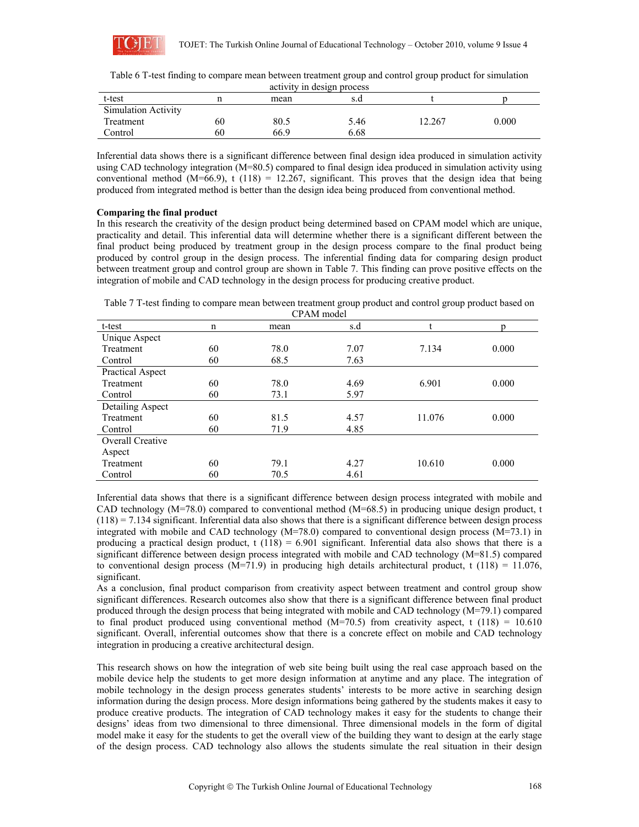

| Table 6 T-test finding to compare mean between treatment group and control group product for simulation |
|---------------------------------------------------------------------------------------------------------|
| activity in design process                                                                              |

| t-test                     |    | mean | s.d  |       |       |  |  |
|----------------------------|----|------|------|-------|-------|--|--|
| <b>Simulation Activity</b> |    |      |      |       |       |  |  |
| Treatment                  | 60 | 80.5 | 5.46 | 2.267 | 0.000 |  |  |
| Control                    | 60 | 66.9 | 6.68 |       |       |  |  |

Inferential data shows there is a significant difference between final design idea produced in simulation activity using CAD technology integration (M=80.5) compared to final design idea produced in simulation activity using conventional method  $(M=66.9)$ , t (118) = 12.267, significant. This proves that the design idea that being produced from integrated method is better than the design idea being produced from conventional method.

# **Comparing the final product**

In this research the creativity of the design product being determined based on CPAM model which are unique, practicality and detail. This inferential data will determine whether there is a significant different between the final product being produced by treatment group in the design process compare to the final product being produced by control group in the design process. The inferential finding data for comparing design product between treatment group and control group are shown in Table 7. This finding can prove positive effects on the integration of mobile and CAD technology in the design process for producing creative product.

Table 7 T-test finding to compare mean between treatment group product and control group product based on CPAM model

| CL VIM HIOTEI    |             |      |      |        |       |  |  |
|------------------|-------------|------|------|--------|-------|--|--|
| t-test           | $\mathbf n$ | mean | s.d  |        |       |  |  |
| Unique Aspect    |             |      |      |        |       |  |  |
| Treatment        | 60          | 78.0 | 7.07 | 7.134  | 0.000 |  |  |
| Control          | 60          | 68.5 | 7.63 |        |       |  |  |
| Practical Aspect |             |      |      |        |       |  |  |
| Treatment        | 60          | 78.0 | 4.69 | 6.901  | 0.000 |  |  |
| Control          | 60          | 73.1 | 5.97 |        |       |  |  |
| Detailing Aspect |             |      |      |        |       |  |  |
| Treatment        | 60          | 81.5 | 4.57 | 11.076 | 0.000 |  |  |
| Control          | 60          | 71.9 | 4.85 |        |       |  |  |
| Overall Creative |             |      |      |        |       |  |  |
| Aspect           |             |      |      |        |       |  |  |
| Treatment        | 60          | 79.1 | 4.27 | 10.610 | 0.000 |  |  |
| Control          | 60          | 70.5 | 4.61 |        |       |  |  |

Inferential data shows that there is a significant difference between design process integrated with mobile and CAD technology (M=78.0) compared to conventional method (M=68.5) in producing unique design product, t  $(118) = 7.134$  significant. Inferential data also shows that there is a significant difference between design process integrated with mobile and CAD technology  $(M=78.0)$  compared to conventional design process  $(M=73.1)$  in producing a practical design product,  $t(118) = 6.901$  significant. Inferential data also shows that there is a significant difference between design process integrated with mobile and CAD technology (M=81.5) compared to conventional design process  $(M=71.9)$  in producing high details architectural product, t (118) = 11.076, significant.

As a conclusion, final product comparison from creativity aspect between treatment and control group show significant differences. Research outcomes also show that there is a significant difference between final product produced through the design process that being integrated with mobile and CAD technology (M=79.1) compared to final product produced using conventional method  $(M=70.5)$  from creativity aspect, t  $(118) = 10.610$ significant. Overall, inferential outcomes show that there is a concrete effect on mobile and CAD technology integration in producing a creative architectural design.

This research shows on how the integration of web site being built using the real case approach based on the mobile device help the students to get more design information at anytime and any place. The integration of mobile technology in the design process generates students' interests to be more active in searching design information during the design process. More design informations being gathered by the students makes it easy to produce creative products. The integration of CAD technology makes it easy for the students to change their designs' ideas from two dimensional to three dimensional. Three dimensional models in the form of digital model make it easy for the students to get the overall view of the building they want to design at the early stage of the design process. CAD technology also allows the students simulate the real situation in their design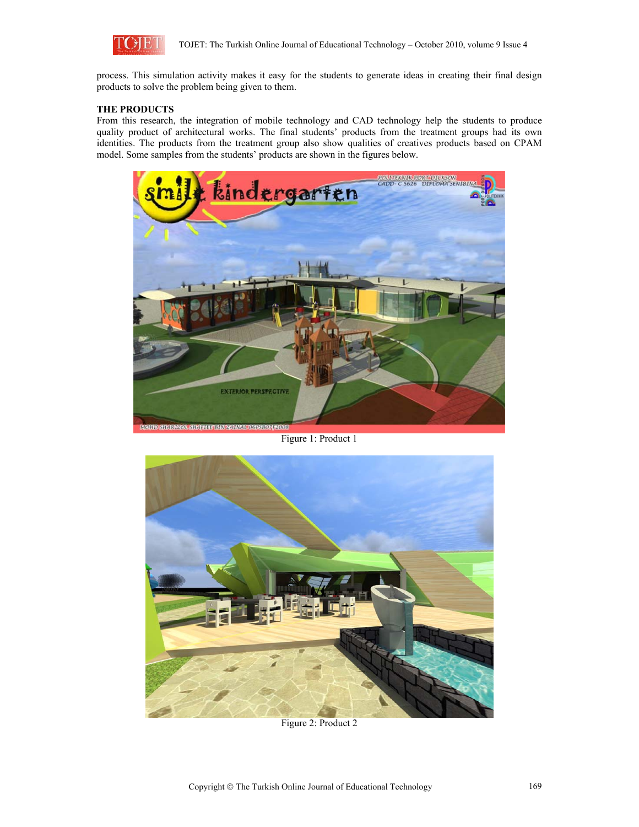

process. This simulation activity makes it easy for the students to generate ideas in creating their final design products to solve the problem being given to them.

# **THE PRODUCTS**

From this research, the integration of mobile technology and CAD technology help the students to produce quality product of architectural works. The final students' products from the treatment groups had its own identities. The products from the treatment group also show qualities of creatives products based on CPAM model. Some samples from the students' products are shown in the figures below.



Figure 1: Product 1



Figure 2: Product 2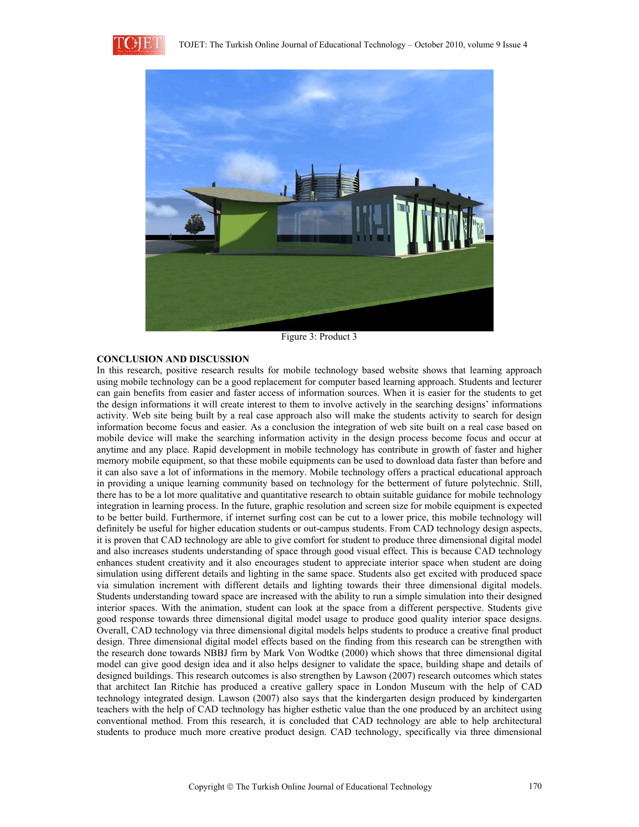



Figure 3: Product 3

#### **CONCLUSION AND DISCUSSION**

In this research, positive research results for mobile technology based website shows that learning approach using mobile technology can be a good replacement for computer based learning approach. Students and lecturer can gain benefits from easier and faster access of information sources. When it is easier for the students to get the design informations it will create interest to them to involve actively in the searching designs' informations activity. Web site being built by a real case approach also will make the students activity to search for design information become focus and easier. As a conclusion the integration of web site built on a real case based on mobile device will make the searching information activity in the design process become focus and occur at anytime and any place. Rapid development in mobile technology has contribute in growth of faster and higher memory mobile equipment, so that these mobile equipments can be used to download data faster than before and it can also save a lot of informations in the memory. Mobile technology offers a practical educational approach in providing a unique learning community based on technology for the betterment of future polytechnic. Still, there has to be a lot more qualitative and quantitative research to obtain suitable guidance for mobile technology integration in learning process. In the future, graphic resolution and screen size for mobile equipment is expected to be better build. Furthermore, if internet surfing cost can be cut to a lower price, this mobile technology will definitely be useful for higher education students or out-campus students. From CAD technology design aspects, it is proven that CAD technology are able to give comfort for student to produce three dimensional digital model and also increases students understanding of space through good visual effect. This is because CAD technology enhances student creativity and it also encourages student to appreciate interior space when student are doing simulation using different details and lighting in the same space. Students also get excited with produced space via simulation increment with different details and lighting towards their three dimensional digital models. Students understanding toward space are increased with the ability to run a simple simulation into their designed interior spaces. With the animation, student can look at the space from a different perspective. Students give good response towards three dimensional digital model usage to produce good quality interior space designs. Overall, CAD technology via three dimensional digital models helps students to produce a creative final product design. Three dimensional digital model effects based on the finding from this research can be strengthen with the research done towards NBBJ firm by Mark Von Wodtke (2000) which shows that three dimensional digital model can give good design idea and it also helps designer to validate the space, building shape and details of designed buildings. This research outcomes is also strengthen by Lawson (2007) research outcomes which states that architect Ian Ritchie has produced a creative gallery space in London Museum with the help of CAD technology integrated design. Lawson (2007) also says that the kindergarten design produced by kindergarten teachers with the help of CAD technology has higher esthetic value than the one produced by an architect using conventional method. From this research, it is concluded that CAD technology are able to help architectural students to produce much more creative product design. CAD technology, specifically via three dimensional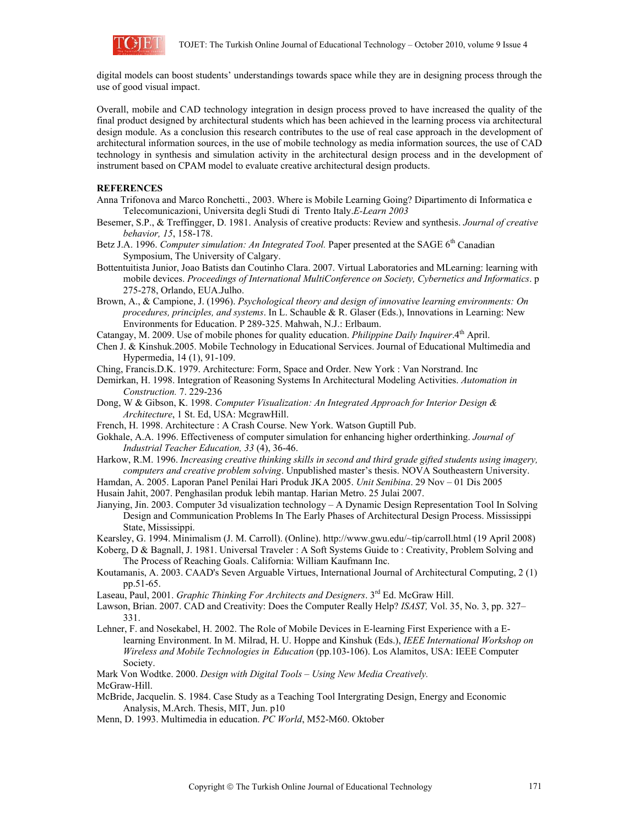

digital models can boost students' understandings towards space while they are in designing process through the use of good visual impact.

Overall, mobile and CAD technology integration in design process proved to have increased the quality of the final product designed by architectural students which has been achieved in the learning process via architectural design module. As a conclusion this research contributes to the use of real case approach in the development of architectural information sources, in the use of mobile technology as media information sources, the use of CAD technology in synthesis and simulation activity in the architectural design process and in the development of instrument based on CPAM model to evaluate creative architectural design products.

# **REFERENCES**

- Anna Trifonova and Marco Ronchetti., 2003. Where is Mobile Learning Going? Dipartimento di Informatica e Telecomunicazioni, Universita degli Studi di Trento Italy.*E-Learn 2003*
- Besemer, S.P., & Treffingger, D. 1981. Analysis of creative products: Review and synthesis. *Journal of creative behavior, 15*, 158-178.
- Betz J.A. 1996. *Computer simulation: An Integrated Tool*. Paper presented at the SAGE 6<sup>th</sup> Canadian Symposium, The University of Calgary.
- Bottentuitista Junior, Joao Batists dan Coutinho Clara. 2007. Virtual Laboratories and MLearning: learning with mobile devices. *Proceedings of International MultiConference on Society, Cybernetics and Informatics*. p 275-278, Orlando, EUA.Julho.

Brown, A., & Campione, J. (1996). *Psychological theory and design of innovative learning environments: On procedures, principles, and systems*. In L. Schauble & R. Glaser (Eds.), Innovations in Learning: New Environments for Education. P 289-325. Mahwah, N.J.: Erlbaum.

Catangay, M. 2009. Use of mobile phones for quality education. *Philippine Daily Inquirer*.4th April.

Chen J. & Kinshuk.2005. Mobile Technology in Educational Services. Journal of Educational Multimedia and Hypermedia, 14 (1), 91-109.

Ching, Francis.D.K. 1979. Architecture: Form, Space and Order. New York : Van Norstrand. Inc

- Demirkan, H. 1998. Integration of Reasoning Systems In Architectural Modeling Activities. *Automation in Construction.* 7. 229-236
- Dong, W & Gibson, K. 1998. *Computer Visualization: An Integrated Approach for Interior Design & Architecture*, 1 St. Ed, USA: McgrawHill.
- French, H. 1998. Architecture : A Crash Course. New York. Watson Guptill Pub.
- Gokhale, A.A. 1996. Effectiveness of computer simulation for enhancing higher orderthinking. *Journal of Industrial Teacher Education, 33* (4), 36-46.
- Harkow, R.M. 1996. *Increasing creative thinking skills in second and third grade gifted students using imagery, computers and creative problem solving*. Unpublished master's thesis. NOVA Southeastern University.

Hamdan, A. 2005. Laporan Panel Penilai Hari Produk JKA 2005. *Unit Senibina*. 29 Nov – 01 Dis 2005 Husain Jahit, 2007. Penghasilan produk lebih mantap. Harian Metro. 25 Julai 2007.

Jianying, Jin. 2003. Computer 3d visualization technology – A Dynamic Design Representation Tool In Solving Design and Communication Problems In The Early Phases of Architectural Design Process. Mississippi State, Mississippi.

Kearsley, G. 1994. Minimalism (J. M. Carroll). (Online). http://www.gwu.edu/~tip/carroll.html (19 April 2008)

- Koberg, D & Bagnall, J. 1981. Universal Traveler : A Soft Systems Guide to : Creativity, Problem Solving and The Process of Reaching Goals. California: William Kaufmann Inc.
- Koutamanis, A. 2003. CAAD's Seven Arguable Virtues, International Journal of Architectural Computing, 2 (1) pp.51-65.
- Laseau, Paul, 2001. *Graphic Thinking For Architects and Designers*. 3rd Ed. McGraw Hill.
- Lawson, Brian. 2007. CAD and Creativity: Does the Computer Really Help? *ISAST,* Vol. 35, No. 3, pp. 327– 331.
- Lehner, F. and Nosekabel, H. 2002. The Role of Mobile Devices in E-learning First Experience with a Elearning Environment. In M. Milrad, H. U. Hoppe and Kinshuk (Eds.), *IEEE International Workshop on Wireless and Mobile Technologies in Education* (pp.103-106). Los Alamitos, USA: IEEE Computer Society.

Mark Von Wodtke. 2000. *Design with Digital Tools – Using New Media Creatively.*  McGraw-Hill.

McBride, Jacquelin. S. 1984. Case Study as a Teaching Tool Intergrating Design, Energy and Economic Analysis, M.Arch. Thesis, MIT, Jun. p10

Menn, D. 1993. Multimedia in education. *PC World*, M52-M60. Oktober